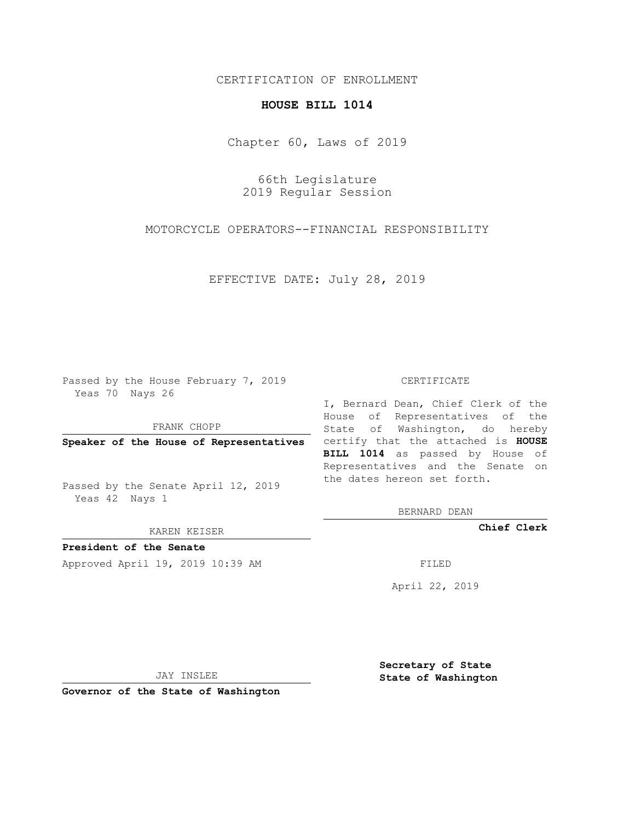## CERTIFICATION OF ENROLLMENT

## **HOUSE BILL 1014**

Chapter 60, Laws of 2019

66th Legislature 2019 Regular Session

MOTORCYCLE OPERATORS--FINANCIAL RESPONSIBILITY

EFFECTIVE DATE: July 28, 2019

Passed by the House February 7, 2019 Yeas 70 Nays 26

FRANK CHOPP

Passed by the Senate April 12, 2019 Yeas 42 Nays 1

KAREN KEISER

**President of the Senate**

Approved April 19, 2019 10:39 AM FILED

## CERTIFICATE

**Speaker of the House of Representatives** certify that the attached is **HOUSE** I, Bernard Dean, Chief Clerk of the House of Representatives of the State of Washington, do hereby **BILL 1014** as passed by House of Representatives and the Senate on the dates hereon set forth.

BERNARD DEAN

**Chief Clerk**

April 22, 2019

JAY INSLEE

**Governor of the State of Washington**

**Secretary of State State of Washington**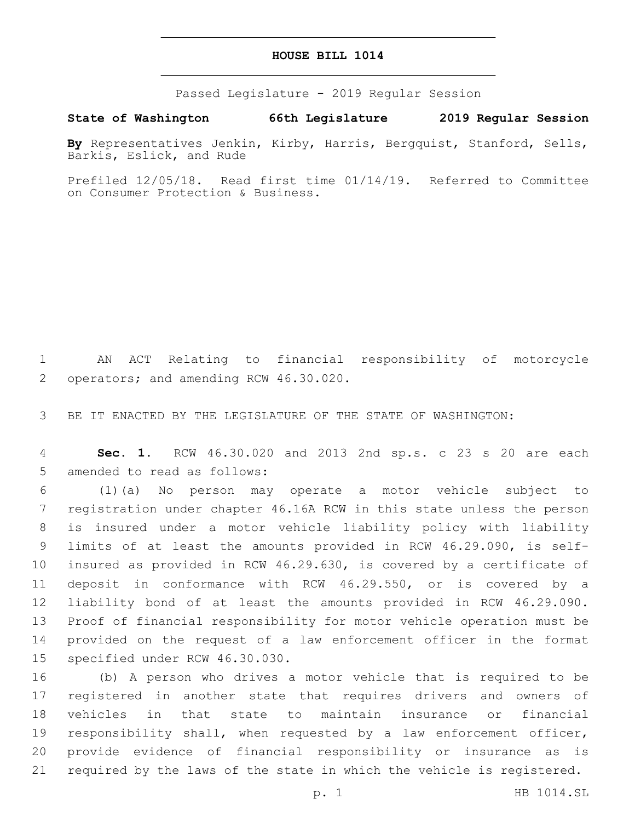## **HOUSE BILL 1014**

Passed Legislature - 2019 Regular Session

**State of Washington 66th Legislature 2019 Regular Session**

**By** Representatives Jenkin, Kirby, Harris, Bergquist, Stanford, Sells, Barkis, Eslick, and Rude

Prefiled 12/05/18. Read first time 01/14/19. Referred to Committee on Consumer Protection & Business.

 AN ACT Relating to financial responsibility of motorcycle 2 operators; and amending RCW 46.30.020.

BE IT ENACTED BY THE LEGISLATURE OF THE STATE OF WASHINGTON:

 **Sec. 1.** RCW 46.30.020 and 2013 2nd sp.s. c 23 s 20 are each 5 amended to read as follows:

 (1)(a) No person may operate a motor vehicle subject to registration under chapter 46.16A RCW in this state unless the person is insured under a motor vehicle liability policy with liability limits of at least the amounts provided in RCW 46.29.090, is self- insured as provided in RCW 46.29.630, is covered by a certificate of deposit in conformance with RCW 46.29.550, or is covered by a liability bond of at least the amounts provided in RCW 46.29.090. Proof of financial responsibility for motor vehicle operation must be provided on the request of a law enforcement officer in the format 15 specified under RCW 46.30.030.

 (b) A person who drives a motor vehicle that is required to be registered in another state that requires drivers and owners of vehicles in that state to maintain insurance or financial responsibility shall, when requested by a law enforcement officer, provide evidence of financial responsibility or insurance as is required by the laws of the state in which the vehicle is registered.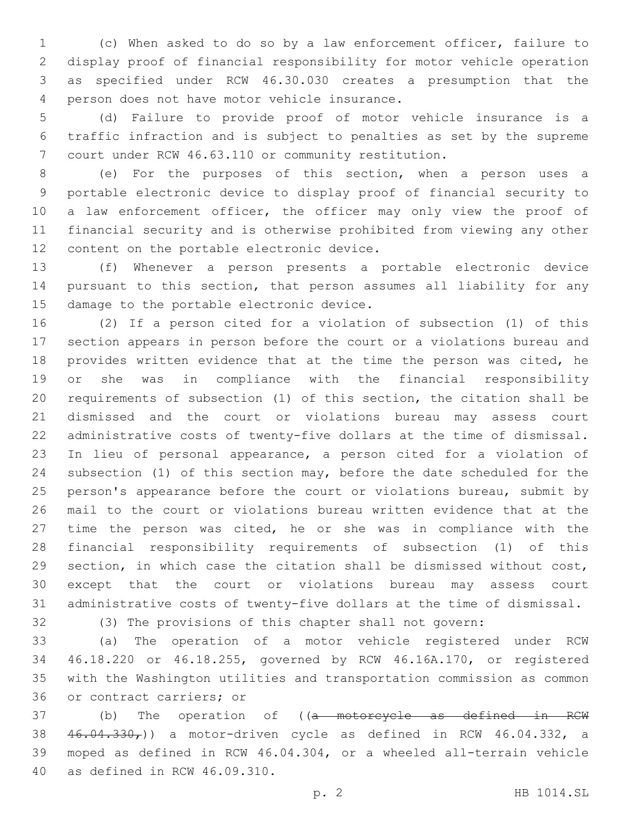(c) When asked to do so by a law enforcement officer, failure to display proof of financial responsibility for motor vehicle operation as specified under RCW 46.30.030 creates a presumption that the 4 person does not have motor vehicle insurance.

 (d) Failure to provide proof of motor vehicle insurance is a traffic infraction and is subject to penalties as set by the supreme court under RCW 46.63.110 or community restitution.

 (e) For the purposes of this section, when a person uses a portable electronic device to display proof of financial security to 10 a law enforcement officer, the officer may only view the proof of financial security and is otherwise prohibited from viewing any other 12 content on the portable electronic device.

 (f) Whenever a person presents a portable electronic device pursuant to this section, that person assumes all liability for any 15 damage to the portable electronic device.

 (2) If a person cited for a violation of subsection (1) of this section appears in person before the court or a violations bureau and 18 provides written evidence that at the time the person was cited, he or she was in compliance with the financial responsibility requirements of subsection (1) of this section, the citation shall be dismissed and the court or violations bureau may assess court administrative costs of twenty-five dollars at the time of dismissal. In lieu of personal appearance, a person cited for a violation of subsection (1) of this section may, before the date scheduled for the 25 person's appearance before the court or violations bureau, submit by mail to the court or violations bureau written evidence that at the time the person was cited, he or she was in compliance with the financial responsibility requirements of subsection (1) of this section, in which case the citation shall be dismissed without cost, except that the court or violations bureau may assess court administrative costs of twenty-five dollars at the time of dismissal.

(3) The provisions of this chapter shall not govern:

 (a) The operation of a motor vehicle registered under RCW 46.18.220 or 46.18.255, governed by RCW 46.16A.170, or registered with the Washington utilities and transportation commission as common 36 or contract carriers; or

37 (b) The operation of ((a motorcycle as defined in RCW 38 46.04.330,)) a motor-driven cycle as defined in RCW 46.04.332, a moped as defined in RCW 46.04.304, or a wheeled all-terrain vehicle 40 as defined in RCW 46.09.310.

p. 2 HB 1014.SL